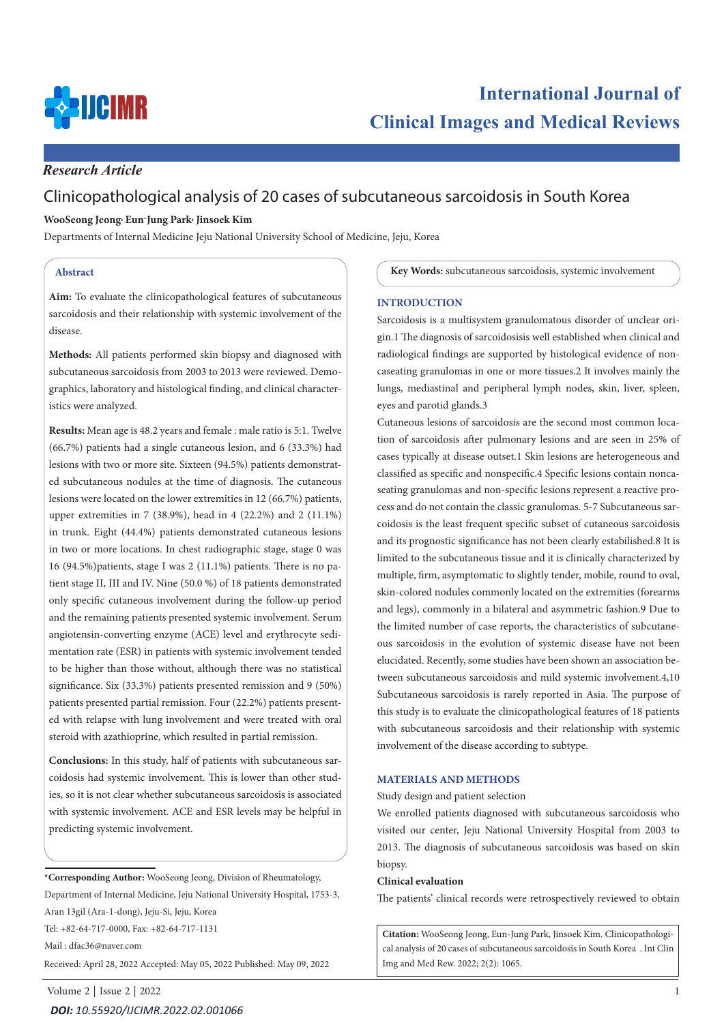

# *Research Article*

# Clinicopathological analysis of 20 cases of subcutaneous sarcoidosis in South Korea

### **WooSeong Jeong, Eun-Jung Park, Jinsoek Kim**

Departments of Internal Medicine Jeju National University School of Medicine, Jeju, Korea

### **Abstract**

**Aim:** To evaluate the clinicopathological features of subcutaneous sarcoidosis and their relationship with systemic involvement of the disease.

**Methods:** All patients performed skin biopsy and diagnosed with subcutaneous sarcoidosis from 2003 to 2013 were reviewed. Demographics, laboratory and histological finding, and clinical characteristics were analyzed.

**Results:** Mean age is 48.2 years and female : male ratio is 5:1. Twelve (66.7%) patients had a single cutaneous lesion, and 6 (33.3%) had lesions with two or more site. Sixteen (94.5%) patients demonstrated subcutaneous nodules at the time of diagnosis. The cutaneous lesions were located on the lower extremities in 12 (66.7%) patients, upper extremities in 7 (38.9%), head in 4 (22.2%) and 2 (11.1%) in trunk. Eight (44.4%) patients demonstrated cutaneous lesions in two or more locations. In chest radiographic stage, stage 0 was 16 (94.5%)patients, stage I was 2 (11.1%) patients. There is no patient stage II, III and IV. Nine (50.0 %) of 18 patients demonstrated only specific cutaneous involvement during the follow-up period and the remaining patients presented systemic involvement. Serum angiotensin-converting enzyme (ACE) level and erythrocyte sedimentation rate (ESR) in patients with systemic involvement tended to be higher than those without, although there was no statistical significance. Six (33.3%) patients presented remission and 9 (50%) patients presented partial remission. Four (22.2%) patients presented with relapse with lung involvement and were treated with oral steroid with azathioprine, which resulted in partial remission.

**Conclusions:** In this study, half of patients with subcutaneous sarcoidosis had systemic involvement. This is lower than other studies, so it is not clear whether subcutaneous sarcoidosis is associated with systemic involvement. ACE and ESR levels may be helpful in predicting systemic involvement.

**\*Corresponding Author:** WooSeong Jeong, Division of Rheumatology, Department of Internal Medicine, Jeju National University Hospital, 1753-3, Aran 13gil (Ara-1-dong), Jeju-Si, Jeju, Korea Tel: +82-64-717-0000, Fax: +82-64-717-1131

Mail : dfac36@naver.com

Received: April 28, 2022 Accepted: May 05, 2022 Published: May 09, 2022

**Key Words:** subcutaneous sarcoidosis, systemic involvement

### **INTRODUCTION**

Sarcoidosis is a multisystem granulomatous disorder of unclear origin.1 The diagnosis of sarcoidosisis well established when clinical and radiological findings are supported by histological evidence of noncaseating granulomas in one or more tissues.2 It involves mainly the lungs, mediastinal and peripheral lymph nodes, skin, liver, spleen, eyes and parotid glands.3

Cutaneous lesions of sarcoidosis are the second most common location of sarcoidosis after pulmonary lesions and are seen in 25% of cases typically at disease outset.1 Skin lesions are heterogeneous and classified as specific and nonspecific.4 Specific lesions contain noncaseating granulomas and non-specific lesions represent a reactive process and do not contain the classic granulomas. 5-7 Subcutaneous sarcoidosis is the least frequent specific subset of cutaneous sarcoidosis and its prognostic significance has not been clearly estabilished.8 It is limited to the subcutaneous tissue and it is clinically characterized by multiple, firm, asymptomatic to slightly tender, mobile, round to oval, skin-colored nodules commonly located on the extremities (forearms and legs), commonly in a bilateral and asymmetric fashion.9 Due to the limited number of case reports, the characteristics of subcutaneous sarcoidosis in the evolution of systemic disease have not been elucidated. Recently, some studies have been shown an association between subcutaneous sarcoidosis and mild systemic involvement.4,10 Subcutaneous sarcoidosis is rarely reported in Asia. The purpose of this study is to evaluate the clinicopathological features of 18 patients with subcutaneous sarcoidosis and their relationship with systemic involvement of the disease according to subtype.

### **MATERIALS AND METHODS**

Study design and patient selection

We enrolled patients diagnosed with subcutaneous sarcoidosis who visited our center, Jeju National University Hospital from 2003 to 2013. The diagnosis of subcutaneous sarcoidosis was based on skin biopsy.

#### **Clinical evaluation**

The patients' clinical records were retrospectively reviewed to obtain

**Citation:** WooSeong Jeong, Eun-Jung Park, Jinsoek Kim. Clinicopathological analysis of 20 cases of subcutaneous sarcoidosis in South Korea . Int Clin Img and Med Rew. 2022; 2(2): 1065.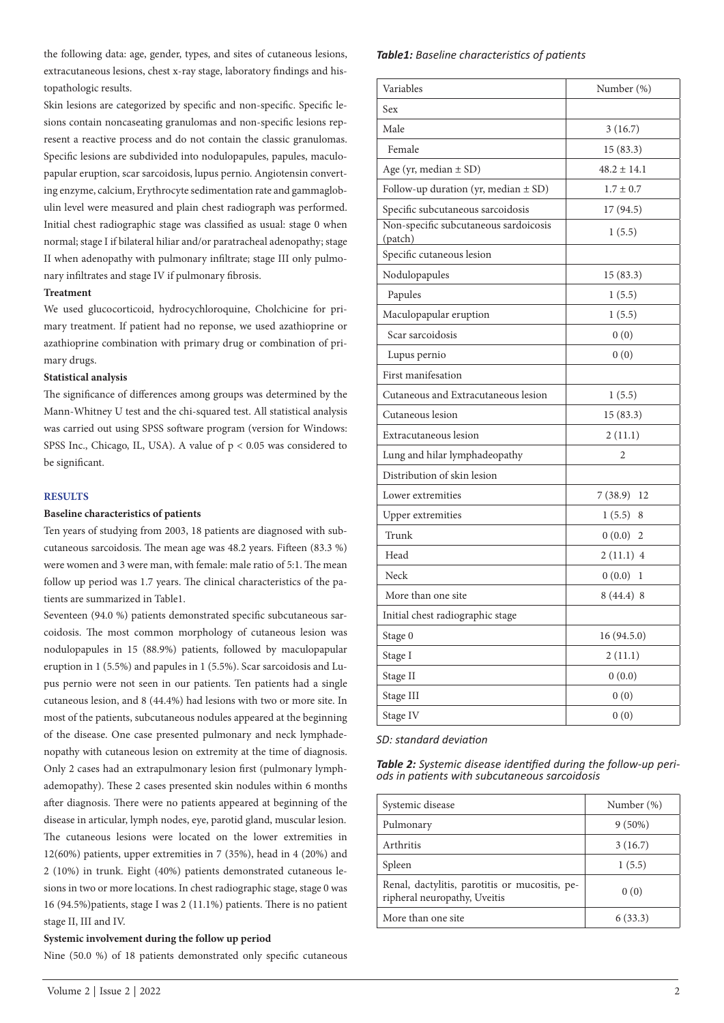the following data: age, gender, types, and sites of cutaneous lesions, extracutaneous lesions, chest x-ray stage, laboratory findings and histopathologic results.

Skin lesions are categorized by specific and non-specific. Specific lesions contain noncaseating granulomas and non-specific lesions represent a reactive process and do not contain the classic granulomas. Specific lesions are subdivided into nodulopapules, papules, maculopapular eruption, scar sarcoidosis, lupus pernio. Angiotensin converting enzyme, calcium, Erythrocyte sedimentation rate and gammaglobulin level were measured and plain chest radiograph was performed. Initial chest radiographic stage was classified as usual: stage 0 when normal; stage I if bilateral hiliar and/or paratracheal adenopathy; stage II when adenopathy with pulmonary infiltrate; stage III only pulmonary infiltrates and stage IV if pulmonary fibrosis.

#### **Treatment**

We used glucocorticoid, hydrocychloroquine, Cholchicine for primary treatment. If patient had no reponse, we used azathioprine or azathioprine combination with primary drug or combination of primary drugs.

#### **Statistical analysis**

The significance of differences among groups was determined by the Mann-Whitney U test and the chi-squared test. All statistical analysis was carried out using SPSS software program (version for Windows: SPSS Inc., Chicago, IL, USA). A value of  $p < 0.05$  was considered to be significant.

#### **RESULTS**

#### **Baseline characteristics of patients**

Ten years of studying from 2003, 18 patients are diagnosed with subcutaneous sarcoidosis. The mean age was 48.2 years. Fifteen (83.3 %) were women and 3 were man, with female: male ratio of 5:1. The mean follow up period was 1.7 years. The clinical characteristics of the patients are summarized in Table1.

Seventeen (94.0 %) patients demonstrated specific subcutaneous sarcoidosis. The most common morphology of cutaneous lesion was nodulopapules in 15 (88.9%) patients, followed by maculopapular eruption in 1 (5.5%) and papules in 1 (5.5%). Scar sarcoidosis and Lupus pernio were not seen in our patients. Ten patients had a single cutaneous lesion, and 8 (44.4%) had lesions with two or more site. In most of the patients, subcutaneous nodules appeared at the beginning of the disease. One case presented pulmonary and neck lymphadenopathy with cutaneous lesion on extremity at the time of diagnosis. Only 2 cases had an extrapulmonary lesion first (pulmonary lymphademopathy). These 2 cases presented skin nodules within 6 months after diagnosis. There were no patients appeared at beginning of the disease in articular, lymph nodes, eye, parotid gland, muscular lesion. The cutaneous lesions were located on the lower extremities in 12(60%) patients, upper extremities in 7 (35%), head in 4 (20%) and 2 (10%) in trunk. Eight (40%) patients demonstrated cutaneous lesions in two or more locations. In chest radiographic stage, stage 0 was 16 (94.5%)patients, stage I was 2 (11.1%) patients. There is no patient stage II, III and IV.

### **Systemic involvement during the follow up period**

Nine (50.0 %) of 18 patients demonstrated only specific cutaneous

### *Table1: Baseline characteristics of patients*

| Variables                                        | Number (%)      |
|--------------------------------------------------|-----------------|
| Sex                                              |                 |
| Male                                             | 3(16.7)         |
| Female                                           | 15(83.3)        |
| Age (yr, median $\pm$ SD)                        | $48.2 \pm 14.1$ |
| Follow-up duration (yr, median $\pm$ SD)         | $1.7 \pm 0.7$   |
| Specific subcutaneous sarcoidosis                | 17(94.5)        |
| Non-specific subcutaneous sardoicosis<br>(patch) | 1(5.5)          |
| Specific cutaneous lesion                        |                 |
| Nodulopapules                                    | 15 (83.3)       |
| Papules                                          | 1(5.5)          |
| Maculopapular eruption                           | 1(5.5)          |
| Scar sarcoidosis                                 | 0(0)            |
| Lupus pernio                                     | 0(0)            |
| First manifesation                               |                 |
| Cutaneous and Extracutaneous lesion              | 1(5.5)          |
| Cutaneous lesion                                 | 15 (83.3)       |
| Extracutaneous lesion                            | 2(11.1)         |
| Lung and hilar lymphadeopathy                    | 2               |
| Distribution of skin lesion                      |                 |
| Lower extremities                                | $7(38.9)$ 12    |
| <b>Upper extremities</b>                         | 1(5.5)<br>8     |
| Trunk                                            | 0(0.0)<br>2     |
| Head                                             | 2(11.1)4        |
| Neck                                             | 0(0.0)<br>1     |
| More than one site                               | 8(44.4)8        |
| Initial chest radiographic stage                 |                 |
| Stage 0                                          | 16 (94.5.0)     |
| Stage I                                          | 2(11.1)         |
| Stage II                                         | 0(0.0)          |
| Stage III                                        | 0(0)            |
| Stage IV                                         | 0(0)            |

#### *SD: standard deviation*

*Table 2: Systemic disease identified during the follow-up peri- ods in patients with subcutaneous sarcoidosis*

| Systemic disease                                                               | Number (%) |
|--------------------------------------------------------------------------------|------------|
| Pulmonary                                                                      | $9(50\%)$  |
| Arthritis                                                                      | 3(16.7)    |
| Spleen                                                                         | 1(5.5)     |
| Renal, dactylitis, parotitis or mucositis, pe-<br>ripheral neuropathy, Uveitis | 0(0)       |
| More than one site                                                             | 6(33.3)    |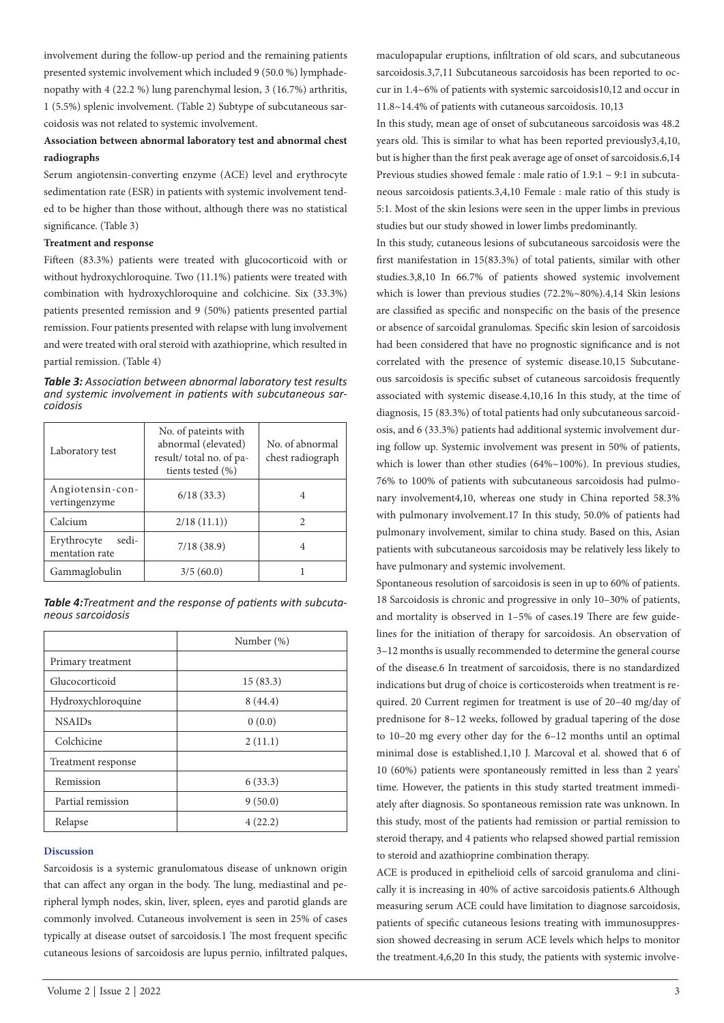involvement during the follow-up period and the remaining patients presented systemic involvement which included 9 (50.0 %) lymphadenopathy with 4 (22.2 %) lung parenchymal lesion, 3 (16.7%) arthritis, 1 (5.5%) splenic involvement. (Table 2) Subtype of subcutaneous sarcoidosis was not related to systemic involvement.

## **Association between abnormal laboratory test and abnormal chest radiographs**

Serum angiotensin-converting enzyme (ACE) level and erythrocyte sedimentation rate (ESR) in patients with systemic involvement tended to be higher than those without, although there was no statistical significance. (Table 3)

#### **Treatment and response**

Fifteen (83.3%) patients were treated with glucocorticoid with or without hydroxychloroquine. Two (11.1%) patients were treated with combination with hydroxychloroquine and colchicine. Six (33.3%) patients presented remission and 9 (50%) patients presented partial remission. Four patients presented with relapse with lung involvement and were treated with oral steroid with azathioprine, which resulted in partial remission. (Table 4)

*Table 3: Association between abnormal laboratory test results and systemic involvement in patients with subcutaneous sarcoidosis*

| Laboratory test                        | No. of pateints with<br>abnormal (elevated)<br>result/ total no. of pa-<br>tients tested (%) | No. of abnormal<br>chest radiograph |
|----------------------------------------|----------------------------------------------------------------------------------------------|-------------------------------------|
| Angiotensin-con-<br>vertingenzyme      | 6/18(33.3)                                                                                   |                                     |
| Calcium                                | 2/18(11.1)                                                                                   | 2                                   |
| sedi-<br>Erythrocyte<br>mentation rate | 7/18(38.9)                                                                                   |                                     |
| Gammaglobulin                          | 3/5(60.0)                                                                                    |                                     |

*Table 4:Treatment and the response of patients with subcutaneous sarcoidosis*

|                    | Number (%) |
|--------------------|------------|
| Primary treatment  |            |
| Glucocorticoid     | 15(83.3)   |
| Hydroxychloroquine | 8(44.4)    |
| <b>NSAIDs</b>      | 0(0.0)     |
| Colchicine         | 2(11.1)    |
| Treatment response |            |
| Remission          | 6(33.3)    |
| Partial remission  | 9(50.0)    |
| Relapse            | 4(22.2)    |

#### **Discussion**

Sarcoidosis is a systemic granulomatous disease of unknown origin that can affect any organ in the body. The lung, mediastinal and peripheral lymph nodes, skin, liver, spleen, eyes and parotid glands are commonly involved. Cutaneous involvement is seen in 25% of cases typically at disease outset of sarcoidosis.1 The most frequent specific cutaneous lesions of sarcoidosis are lupus pernio, infiltrated palques, maculopapular eruptions, infiltration of old scars, and subcutaneous sarcoidosis.3,7,11 Subcutaneous sarcoidosis has been reported to occur in 1.4~6% of patients with systemic sarcoidosis10,12 and occur in 11.8~14.4% of patients with cutaneous sarcoidosis. 10,13

In this study, mean age of onset of subcutaneous sarcoidosis was 48.2 years old. This is similar to what has been reported previously3,4,10, but is higher than the first peak average age of onset of sarcoidosis.6,14 Previous studies showed female : male ratio of 1.9:1 ~ 9:1 in subcutaneous sarcoidosis patients.3,4,10 Female : male ratio of this study is 5:1. Most of the skin lesions were seen in the upper limbs in previous studies but our study showed in lower limbs predominantly.

In this study, cutaneous lesions of subcutaneous sarcoidosis were the first manifestation in 15(83.3%) of total patients, similar with other studies.3,8,10 In 66.7% of patients showed systemic involvement which is lower than previous studies (72.2%~80%).4,14 Skin lesions are classified as specific and nonspecific on the basis of the presence or absence of sarcoidal granulomas. Specific skin lesion of sarcoidosis had been considered that have no prognostic significance and is not correlated with the presence of systemic disease.10,15 Subcutaneous sarcoidosis is specific subset of cutaneous sarcoidosis frequently associated with systemic disease.4,10,16 In this study, at the time of diagnosis, 15 (83.3%) of total patients had only subcutaneous sarcoidosis, and 6 (33.3%) patients had additional systemic involvement during follow up. Systemic involvement was present in 50% of patients, which is lower than other studies (64%~100%). In previous studies, 76% to 100% of patients with subcutaneous sarcoidosis had pulmonary involvement4,10, whereas one study in China reported 58.3% with pulmonary involvement.17 In this study, 50.0% of patients had pulmonary involvement, similar to china study. Based on this, Asian patients with subcutaneous sarcoidosis may be relatively less likely to have pulmonary and systemic involvement.

Spontaneous resolution of sarcoidosis is seen in up to 60% of patients. 18 Sarcoidosis is chronic and progressive in only 10–30% of patients, and mortality is observed in 1–5% of cases.19 There are few guidelines for the initiation of therapy for sarcoidosis. An observation of 3–12 months is usually recommended to determine the general course of the disease.6 In treatment of sarcoidosis, there is no standardized indications but drug of choice is corticosteroids when treatment is required. 20 Current regimen for treatment is use of 20–40 mg/day of prednisone for 8–12 weeks, followed by gradual tapering of the dose to 10–20 mg every other day for the 6–12 months until an optimal minimal dose is established.1,10 J. Marcoval et al. showed that 6 of 10 (60%) patients were spontaneously remitted in less than 2 years' time. However, the patients in this study started treatment immediately after diagnosis. So spontaneous remission rate was unknown. In this study, most of the patients had remission or partial remission to steroid therapy, and 4 patients who relapsed showed partial remission to steroid and azathioprine combination therapy.

ACE is produced in epithelioid cells of sarcoid granuloma and clinically it is increasing in 40% of active sarcoidosis patients.6 Although measuring serum ACE could have limitation to diagnose sarcoidosis, patients of specific cutaneous lesions treating with immunosuppression showed decreasing in serum ACE levels which helps to monitor the treatment.4,6,20 In this study, the patients with systemic involve